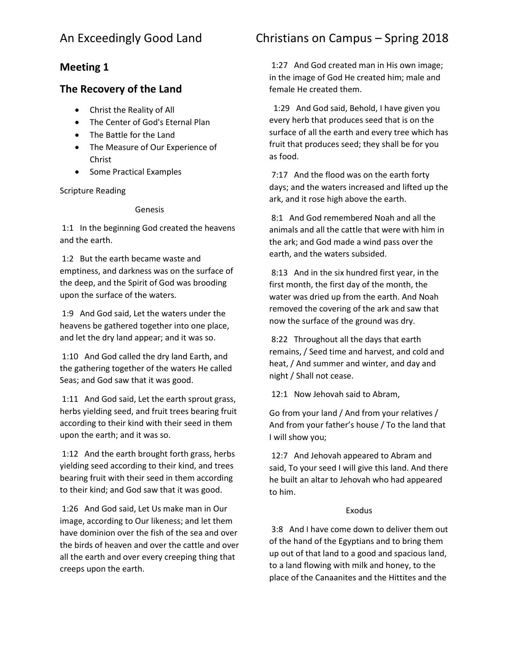## **Meeting 1**

## **The Recovery of the Land**

- Christ the Reality of All
- The Center of God's Eternal Plan
- The Battle for the Land
- The Measure of Our Experience of Christ
- Some Practical Examples

Scripture Reading

#### Genesis

1:1 In the beginning God created the heavens and the earth.

1:2 But the earth became waste and emptiness, and darkness was on the surface of the deep, and the Spirit of God was brooding upon the surface of the waters.

1:9 And God said, Let the waters under the heavens be gathered together into one place, and let the dry land appear; and it was so.

1:10 And God called the dry land Earth, and the gathering together of the waters He called Seas; and God saw that it was good.

1:11 And God said, Let the earth sprout grass, herbs yielding seed, and fruit trees bearing fruit according to their kind with their seed in them upon the earth; and it was so.

1:12 And the earth brought forth grass, herbs yielding seed according to their kind, and trees bearing fruit with their seed in them according to their kind; and God saw that it was good.

1:26 And God said, Let Us make man in Our image, according to Our likeness; and let them have dominion over the fish of the sea and over the birds of heaven and over the cattle and over all the earth and over every creeping thing that creeps upon the earth.

# An Exceedingly Good Land Christians on Campus – Spring 2018

1:27 And God created man in His own image; in the image of God He created him; male and female He created them.

 1:29 And God said, Behold, I have given you every herb that produces seed that is on the surface of all the earth and every tree which has fruit that produces seed; they shall be for you as food.

7:17 And the flood was on the earth forty days; and the waters increased and lifted up the ark, and it rose high above the earth.

8:1 And God remembered Noah and all the animals and all the cattle that were with him in the ark; and God made a wind pass over the earth, and the waters subsided.

8:13 And in the six hundred first year, in the first month, the first day of the month, the water was dried up from the earth. And Noah removed the covering of the ark and saw that now the surface of the ground was dry.

8:22 Throughout all the days that earth remains, / Seed time and harvest, and cold and heat, / And summer and winter, and day and night / Shall not cease.

12:1 Now Jehovah said to Abram,

Go from your land / And from your relatives / And from your father's house / To the land that I will show you;

12:7 And Jehovah appeared to Abram and said, To your seed I will give this land. And there he built an altar to Jehovah who had appeared to him.

### Exodus

3:8 And I have come down to deliver them out of the hand of the Egyptians and to bring them up out of that land to a good and spacious land, to a land flowing with milk and honey, to the place of the Canaanites and the Hittites and the